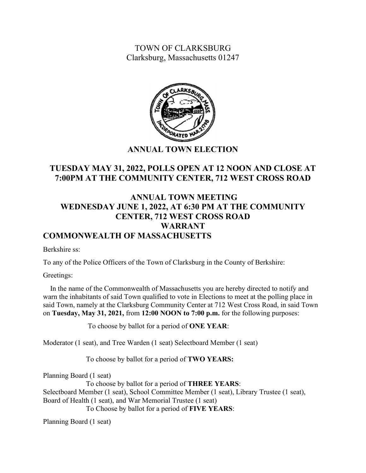TOWN OF CLARKSBURG Clarksburg, Massachusetts 01247



## **ANNUAL TOWN ELECTION**

# **TUESDAY MAY 31, 2022, POLLS OPEN AT 12 NOON AND CLOSE AT 7:00PM AT THE COMMUNITY CENTER, 712 WEST CROSS ROAD**

# **ANNUAL TOWN MEETING WEDNESDAY JUNE 1, 2022, AT 6:30 PM AT THE COMMUNITY CENTER, 712 WEST CROSS ROAD WARRANT COMMONWEALTH OF MASSACHUSETTS**

Berkshire ss:

To any of the Police Officers of the Town of Clarksburg in the County of Berkshire:

Greetings:

 In the name of the Commonwealth of Massachusetts you are hereby directed to notify and warn the inhabitants of said Town qualified to vote in Elections to meet at the polling place in said Town, namely at the Clarksburg Community Center at 712 West Cross Road, in said Town on **Tuesday, May 31, 2021,** from **12:00 NOON to 7:00 p.m.** for the following purposes:

To choose by ballot for a period of **ONE YEAR**:

Moderator (1 seat), and Tree Warden (1 seat) Selectboard Member (1 seat)

To choose by ballot for a period of **TWO YEARS:**

Planning Board (1 seat)

To choose by ballot for a period of **THREE YEARS**: Selectboard Member (1 seat), School Committee Member (1 seat), Library Trustee (1 seat), Board of Health (1 seat), and War Memorial Trustee (1 seat) To Choose by ballot for a period of **FIVE YEARS**:

Planning Board (1 seat)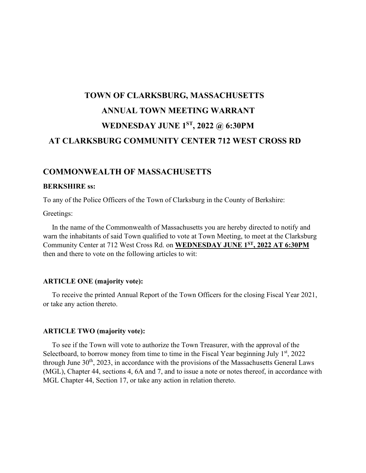# **TOWN OF CLARKSBURG, MASSACHUSETTS ANNUAL TOWN MEETING WARRANT WEDNESDAY JUNE 1ST, 2022 @ 6:30PM AT CLARKSBURG COMMUNITY CENTER 712 WEST CROSS RD**

## **COMMONWEALTH OF MASSACHUSETTS**

#### **BERKSHIRE ss:**

To any of the Police Officers of the Town of Clarksburg in the County of Berkshire:

Greetings:

 In the name of the Commonwealth of Massachusetts you are hereby directed to notify and warn the inhabitants of said Town qualified to vote at Town Meeting, to meet at the Clarksburg Community Center at 712 West Cross Rd. on **WEDNESDAY JUNE 1ST, 2022 AT 6:30PM** then and there to vote on the following articles to wit:

#### **ARTICLE ONE (majority vote):**

 To receive the printed Annual Report of the Town Officers for the closing Fiscal Year 2021, or take any action thereto.

#### **ARTICLE TWO (majority vote):**

 To see if the Town will vote to authorize the Town Treasurer, with the approval of the Selectboard, to borrow money from time to time in the Fiscal Year beginning July  $1<sup>st</sup>$ , 2022 through June  $30<sup>th</sup>$ , 2023, in accordance with the provisions of the Massachusetts General Laws (MGL), Chapter 44, sections 4, 6A and 7, and to issue a note or notes thereof, in accordance with MGL Chapter 44, Section 17, or take any action in relation thereto.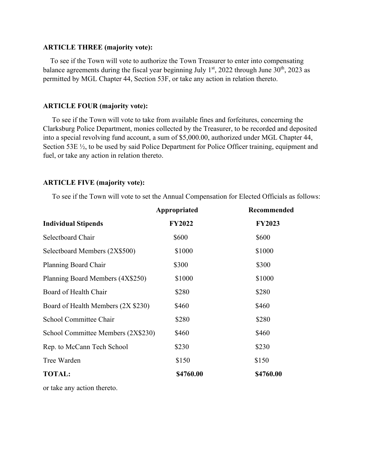### **ARTICLE THREE (majority vote):**

To see if the Town will vote to authorize the Town Treasurer to enter into compensating balance agreements during the fiscal year beginning July  $1<sup>st</sup>$ , 2022 through June 30<sup>th</sup>, 2023 as permitted by MGL Chapter 44, Section 53F, or take any action in relation thereto.

#### **ARTICLE FOUR (majority vote):**

To see if the Town will vote to take from available fines and forfeitures, concerning the Clarksburg Police Department, monies collected by the Treasurer, to be recorded and deposited into a special revolving fund account, a sum of \$5,000.00, authorized under MGL Chapter 44, Section 53E  $\frac{1}{2}$ , to be used by said Police Department for Police Officer training, equipment and fuel, or take any action in relation thereto.

#### **ARTICLE FIVE (majority vote):**

To see if the Town will vote to set the Annual Compensation for Elected Officials as follows:

|                                    | Appropriated  | Recommended   |
|------------------------------------|---------------|---------------|
| <b>Individual Stipends</b>         | <b>FY2022</b> | <b>FY2023</b> |
| Selectboard Chair                  | \$600         | \$600         |
| Selectboard Members (2X\$500)      | \$1000        | \$1000        |
| Planning Board Chair               | \$300         | \$300         |
| Planning Board Members (4X\$250)   | \$1000        | \$1000        |
| Board of Health Chair              | \$280         | \$280         |
| Board of Health Members (2X \$230) | \$460         | \$460         |
| School Committee Chair             | \$280         | \$280         |
| School Committee Members (2X\$230) | \$460         | \$460         |
| Rep. to McCann Tech School         | \$230         | \$230         |
| Tree Warden                        | \$150         | \$150         |
| <b>TOTAL:</b>                      | \$4760.00     | \$4760.00     |
|                                    |               |               |

or take any action thereto.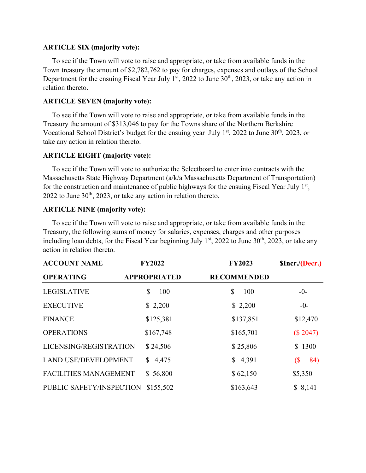## **ARTICLE SIX (majority vote):**

To see if the Town will vote to raise and appropriate, or take from available funds in the Town treasury the amount of \$2,782,762 to pay for charges, expenses and outlays of the School Department for the ensuing Fiscal Year July  $1<sup>st</sup>$ , 2022 to June 30<sup>th</sup>, 2023, or take any action in relation thereto.

## **ARTICLE SEVEN (majority vote):**

To see if the Town will vote to raise and appropriate, or take from available funds in the Treasury the amount of \$313,046 to pay for the Towns share of the Northern Berkshire Vocational School District's budget for the ensuing year July  $1<sup>st</sup>$ , 2022 to June 30<sup>th</sup>, 2023, or take any action in relation thereto.

## **ARTICLE EIGHT (majority vote):**

To see if the Town will vote to authorize the Selectboard to enter into contracts with the Massachusetts State Highway Department (a/k/a Massachusetts Department of Transportation) for the construction and maintenance of public highways for the ensuing Fiscal Year July  $1<sup>st</sup>$ , 2022 to June  $30<sup>th</sup>$ , 2023, or take any action in relation thereto.

## **ARTICLE NINE (majority vote):**

To see if the Town will vote to raise and appropriate, or take from available funds in the Treasury, the following sums of money for salaries, expenses, charges and other purposes including loan debts, for the Fiscal Year beginning July  $1<sup>st</sup>$ , 2022 to June 30<sup>th</sup>, 2023, or take any action in relation thereto.

| <b>ACCOUNT NAME</b>          | <b>FY2022</b>       | <b>FY2023</b>      | <b>SIncr./(Decr.)</b>             |
|------------------------------|---------------------|--------------------|-----------------------------------|
| <b>OPERATING</b>             | <b>APPROPRIATED</b> | <b>RECOMMENDED</b> |                                   |
| <b>LEGISLATIVE</b>           | \$<br>100           | \$<br>100          | $-0-$                             |
| <b>EXECUTIVE</b>             | \$2,200             | \$2,200            | $-0-$                             |
| <b>FINANCE</b>               | \$125,381           | \$137,851          | \$12,470                          |
| <b>OPERATIONS</b>            | \$167,748           | \$165,701          | (\$2047)                          |
| LICENSING/REGISTRATION       | \$24,506            | \$25,806           | \$1300                            |
| <b>LAND USE/DEVELOPMENT</b>  | 4,475<br>S.         | \$4,391            | 84)<br>$\left( \text{\$} \right)$ |
| <b>FACILITIES MANAGEMENT</b> | \$56,800            | \$62,150           | \$5,350                           |
| PUBLIC SAFETY/INSPECTION     | \$155,502           | \$163,643          | \$8,141                           |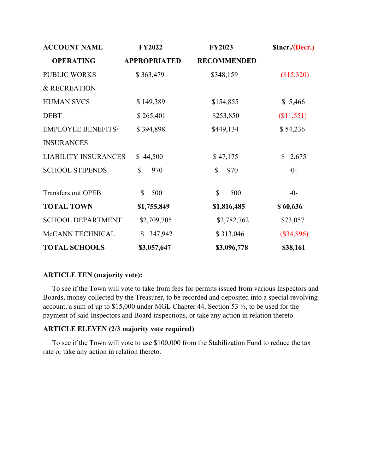| <b>ACCOUNT NAME</b>         | <b>FY2022</b>             | <b>FY2023</b>      | \$Incr./(Decr.)       |
|-----------------------------|---------------------------|--------------------|-----------------------|
| <b>OPERATING</b>            | <b>APPROPRIATED</b>       | <b>RECOMMENDED</b> |                       |
| <b>PUBLIC WORKS</b>         | \$363,479                 | \$348,159          | (\$15,320)            |
| & RECREATION                |                           |                    |                       |
| <b>HUMAN SVCS</b>           | \$149,389                 | \$154,855          | \$5,466               |
| <b>DEBT</b>                 | \$265,401                 | \$253,850          | (\$11,551)            |
| <b>EMPLOYEE BENEFITS/</b>   | \$394,898                 | \$449,134          | \$54,236              |
| <b>INSURANCES</b>           |                           |                    |                       |
| <b>LIABILITY INSURANCES</b> | \$44,500                  | \$47,175           | 2,675<br>$\mathbb{S}$ |
| <b>SCHOOL STIPENDS</b>      | $\mathbb{S}$<br>970       | 970<br>\$          | $-0-$                 |
| Transfers out OPEB          | \$<br>500                 | \$<br>500          | $-0-$                 |
| <b>TOTAL TOWN</b>           | \$1,755,849               | \$1,816,485        | \$60,636              |
| <b>SCHOOL DEPARTMENT</b>    | \$2,709,705               | \$2,782,762        | \$73,057              |
| McCANN TECHNICAL            | 347,942<br>$\mathbb{S}^-$ | \$313,046          | $(\$34,896)$          |
| <b>TOTAL SCHOOLS</b>        | \$3,057,647               | \$3,096,778        | \$38,161              |

## **ARTICLE TEN (majority vote):**

To see if the Town will vote to take from fees for permits issued from various Inspectors and Boards, money collected by the Treasurer, to be recorded and deposited into a special revolving account, a sum of up to \$15,000 under MGL Chapter 44, Section 53 ½, to be used for the payment of said Inspectors and Board inspections, or take any action in relation thereto.

## **ARTICLE ELEVEN (2/3 majority vote required)**

To see if the Town will vote to use \$100,000 from the Stabilization Fund to reduce the tax rate or take any action in relation thereto.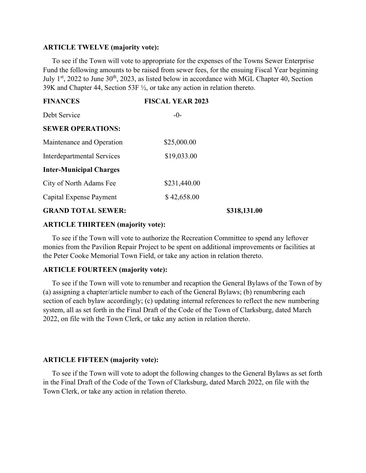#### **ARTICLE TWELVE (majority vote):**

To see if the Town will vote to appropriate for the expenses of the Towns Sewer Enterprise Fund the following amounts to be raised from sewer fees, for the ensuing Fiscal Year beginning July 1<sup>st</sup>, 2022 to June 30<sup>th</sup>, 2023, as listed below in accordance with MGL Chapter 40, Section 39K and Chapter 44, Section 53F ½, or take any action in relation thereto.

| <b>FINANCES</b>                | <b>FISCAL YEAR 2023</b> |              |
|--------------------------------|-------------------------|--------------|
| Debt Service                   | $-0-$                   |              |
| <b>SEWER OPERATIONS:</b>       |                         |              |
| Maintenance and Operation      | \$25,000.00             |              |
| Interdepartmental Services     | \$19,033.00             |              |
| <b>Inter-Municipal Charges</b> |                         |              |
| City of North Adams Fee        | \$231,440.00            |              |
| Capital Expense Payment        | \$42,658.00             |              |
| <b>GRAND TOTAL SEWER:</b>      |                         | \$318,131.00 |

#### **ARTICLE THIRTEEN (majority vote):**

To see if the Town will vote to authorize the Recreation Committee to spend any leftover monies from the Pavilion Repair Project to be spent on additional improvements or facilities at the Peter Cooke Memorial Town Field, or take any action in relation thereto.

## **ARTICLE FOURTEEN (majority vote):**

To see if the Town will vote to renumber and recaption the General Bylaws of the Town of by (a) assigning a chapter/article number to each of the General Bylaws; (b) renumbering each section of each bylaw accordingly; (c) updating internal references to reflect the new numbering system, all as set forth in the Final Draft of the Code of the Town of Clarksburg, dated March 2022, on file with the Town Clerk, or take any action in relation thereto.

### **ARTICLE FIFTEEN (majority vote):**

To see if the Town will vote to adopt the following changes to the General Bylaws as set forth in the Final Draft of the Code of the Town of Clarksburg, dated March 2022, on file with the Town Clerk, or take any action in relation thereto.